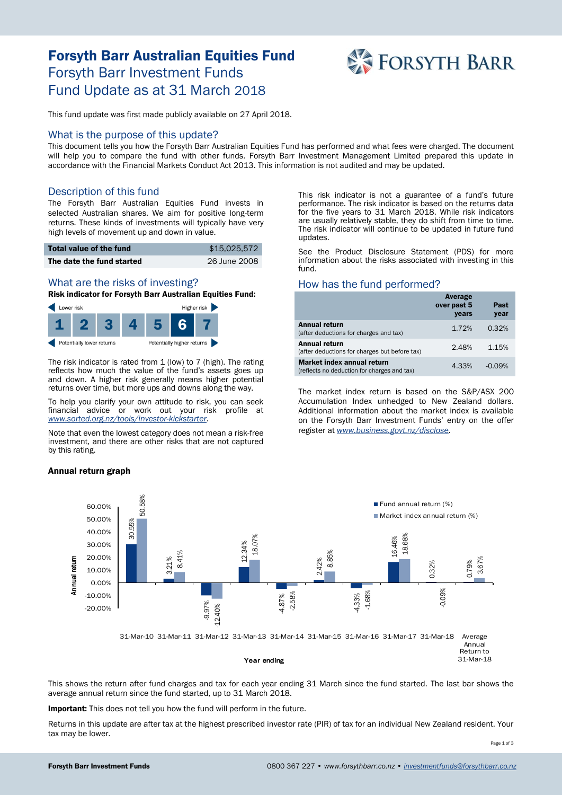# Forsyth Barr Australian Equities Fund Forsyth Barr Investment Funds Fund Update as at 31 March 2018



This fund update was first made publicly available on 27 April 2018.

#### What is the purpose of this update?

This document tells you how the Forsyth Barr Australian Equities Fund has performed and what fees were charged. The document will help you to compare the fund with other funds. Forsyth Barr Investment Management Limited prepared this update in accordance with the Financial Markets Conduct Act 2013. This information is not audited and may be updated.

## Description of this fund

The Forsyth Barr Australian Equities Fund invests in selected Australian shares. We aim for positive long-term returns. These kinds of investments will typically have very high levels of movement up and down in value.

| Total value of the fund   | \$15,025,572 |
|---------------------------|--------------|
| The date the fund started | 26 June 2008 |

# What are the risks of investing?

Risk indicator for Forsyth Barr Australian Equities Fund:



The risk indicator is rated from 1 (low) to 7 (high). The rating reflects how much the value of the fund's assets goes up and down. A higher risk generally means higher potential returns over time, but more ups and downs along the way.

To help you clarify your own attitude to risk, you can seek financial advice or work out your risk profile at *[www.sorted.org.nz/tools/investor-kickstarter](http://www.sorted.org.nz/tools/investor-kickstarter)*.

Note that even the lowest category does not mean a risk-free investment, and there are other risks that are not captured by this rating.

#### Annual return graph

This risk indicator is not a guarantee of a fund's future performance. The risk indicator is based on the returns data for the five years to 31 March 2018. While risk indicators are usually relatively stable, they do shift from time to time. The risk indicator will continue to be updated in future fund updates.

See the Product Disclosure Statement (PDS) for more information about the risks associated with investing in this fund.

### How has the fund performed?

|                                                                           | Average<br>over past 5<br>years | Past<br>year |
|---------------------------------------------------------------------------|---------------------------------|--------------|
| Annual return<br>(after deductions for charges and tax)                   | 1.72%                           | 0.32%        |
| Annual return<br>(after deductions for charges but before tax)            | 2.48%                           | 1.15%        |
| Market index annual return<br>(reflects no deduction for charges and tax) | 4.33%                           | $-0.09%$     |

The market index return is based on the S&P/ASX 200 Accumulation Index unhedged to New Zealand dollars. Additional information about the market index is available on the Forsyth Barr Investment Funds' entry on the offer register at *[www.business.govt.nz/disclose.](http://www.business.govt.nz/disclose)*



This shows the return after fund charges and tax for each year ending 31 March since the fund started. The last bar shows the average annual return since the fund started, up to 31 March 2018.

Important: This does not tell you how the fund will perform in the future.

Returns in this update are after tax at the highest prescribed investor rate (PIR) of tax for an individual New Zealand resident. Your tax may be lower.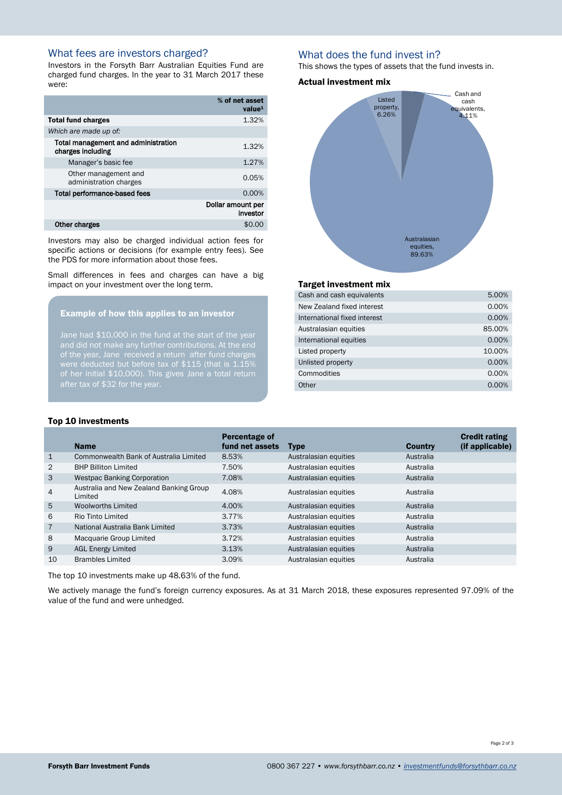# What fees are investors charged?

Investors in the Forsyth Barr Australian Equities Fund are charged fund charges. In the year to 31 March 2017 these were:

|                                                          | % of net asset<br>value <sup>1</sup> |
|----------------------------------------------------------|--------------------------------------|
| <b>Total fund charges</b>                                | 1.32%                                |
| Which are made up of:                                    |                                      |
| Total management and administration<br>charges including | 1.32%                                |
| Manager's basic fee                                      | 1.27%                                |
| Other management and<br>administration charges           | 0.05%                                |
| Total performance-based fees                             | 0.00%                                |
|                                                          | Dollar amount per<br>investor        |
| Other charges                                            | \$0.0                                |

Investors may also be charged individual action fees for specific actions or decisions (for example entry fees). See the PDS for more information about those fees.

Small differences in fees and charges can have a big impact on your investment over the long term.

#### Example of how this applies to an investor

Jane had \$10,000 in the fund at the start of the year of the year, Jane received a return after fund charges of her initial \$10,000). This gives Jane a total return after tax of \$32 for the year.

## What does the fund invest in?

This shows the types of assets that the fund invests in.

#### Actual investment mix



#### Target investment mix

| Cash and cash equivalents    | 5.00%  |
|------------------------------|--------|
| New Zealand fixed interest   | 0.00%  |
| International fixed interest | 0.00%  |
| Australasian equities        | 85.00% |
| International equities       | 0.00%  |
| Listed property              | 10.00% |
| Unlisted property            | 0.00%  |
| Commodities                  | 0.00%  |
| Other                        | 0.00%  |
|                              |        |

#### Top 10 investments

|                | <b>Name</b>                                        | Percentage of<br>fund net assets | <b>Type</b>           | <b>Country</b> | <b>Credit rating</b><br>(if applicable) |
|----------------|----------------------------------------------------|----------------------------------|-----------------------|----------------|-----------------------------------------|
| $\mathbf{1}$   | Commonwealth Bank of Australia Limited             | 8.53%                            | Australasian equities | Australia      |                                         |
| 2              | <b>BHP Billiton Limited</b>                        | 7.50%                            | Australasian equities | Australia      |                                         |
| 3              | <b>Westpac Banking Corporation</b>                 | 7.08%                            | Australasian equities | Australia      |                                         |
| $\overline{4}$ | Australia and New Zealand Banking Group<br>Limited | 4.08%                            | Australasian equities | Australia      |                                         |
| 5              | <b>Woolworths Limited</b>                          | 4.00%                            | Australasian equities | Australia      |                                         |
| 6              | Rio Tinto Limited                                  | 3.77%                            | Australasian equities | Australia      |                                         |
| $\overline{7}$ | National Australia Bank Limited                    | 3.73%                            | Australasian equities | Australia      |                                         |
| 8              | Macquarie Group Limited                            | 3.72%                            | Australasian equities | Australia      |                                         |
| 9              | <b>AGL Energy Limited</b>                          | 3.13%                            | Australasian equities | Australia      |                                         |
| 10             | <b>Brambles Limited</b>                            | 3.09%                            | Australasian equities | Australia      |                                         |

The top 10 investments make up 48.63% of the fund.

We actively manage the fund's foreign currency exposures. As at 31 March 2018, these exposures represented 97.09% of the value of the fund and were unhedged.